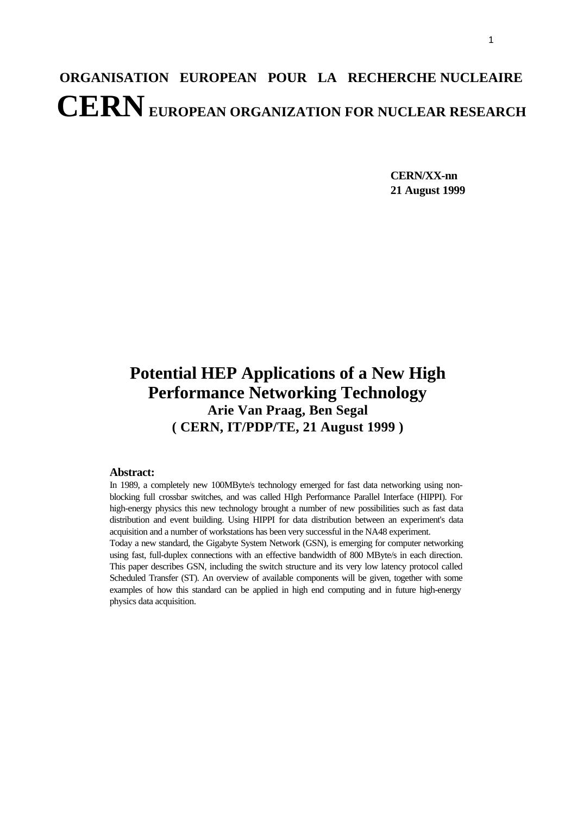# **ORGANISATION EUROPEAN POUR LA RECHERCHE NUCLEAIRE CERN EUROPEAN ORGANIZATION FOR NUCLEAR RESEARCH**

**CERN/XX-nn 21 August 1999**

# **Potential HEP Applications of a New High Performance Networking Technology Arie Van Praag, Ben Segal ( CERN, IT/PDP/TE, 21 August 1999 )**

#### **Abstract:**

In 1989, a completely new 100MByte/s technology emerged for fast data networking using nonblocking full crossbar switches, and was called HIgh Performance Parallel Interface (HIPPI). For high-energy physics this new technology brought a number of new possibilities such as fast data distribution and event building. Using HIPPI for data distribution between an experiment's data acquisition and a number of workstations has been very successful in the NA48 experiment.

Today a new standard, the Gigabyte System Network (GSN), is emerging for computer networking using fast, full-duplex connections with an effective bandwidth of 800 MByte/s in each direction. This paper describes GSN, including the switch structure and its very low latency protocol called Scheduled Transfer (ST). An overview of available components will be given, together with some examples of how this standard can be applied in high end computing and in future high-energy physics data acquisition.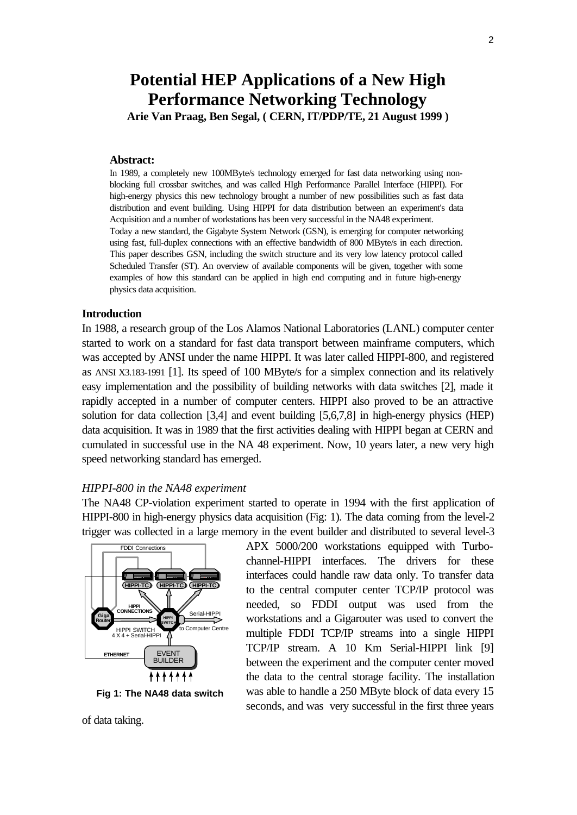# **Potential HEP Applications of a New High Performance Networking Technology**

**Arie Van Praag, Ben Segal, ( CERN, IT/PDP/TE, 21 August 1999 )**

#### **Abstract:**

In 1989, a completely new 100MByte/s technology emerged for fast data networking using nonblocking full crossbar switches, and was called HIgh Performance Parallel Interface (HIPPI). For high-energy physics this new technology brought a number of new possibilities such as fast data distribution and event building. Using HIPPI for data distribution between an experiment's data Acquisition and a number of workstations has been very successful in the NA48 experiment. Today a new standard, the Gigabyte System Network (GSN), is emerging for computer networking using fast, full-duplex connections with an effective bandwidth of 800 MByte/s in each direction. This paper describes GSN, including the switch structure and its very low latency protocol called Scheduled Transfer (ST). An overview of available components will be given, together with some examples of how this standard can be applied in high end computing and in future high-energy physics data acquisition.

#### **Introduction**

In 1988, a research group of the Los Alamos National Laboratories (LANL) computer center started to work on a standard for fast data transport between mainframe computers, which was accepted by ANSI under the name HIPPI. It was later called HIPPI-800, and registered as ANSI X3.183-1991 [1]. Its speed of 100 MByte/s for a simplex connection and its relatively easy implementation and the possibility of building networks with data switches [2], made it rapidly accepted in a number of computer centers. HIPPI also proved to be an attractive solution for data collection [3,4] and event building [5,6,7,8] in high-energy physics (HEP) data acquisition. It was in 1989 that the first activities dealing with HIPPI began at CERN and cumulated in successful use in the NA 48 experiment. Now, 10 years later, a new very high speed networking standard has emerged.

#### *HIPPI-800 in the NA48 experiment*

The NA48 CP-violation experiment started to operate in 1994 with the first application of HIPPI-800 in high-energy physics data acquisition (Fig: 1). The data coming from the level-2 trigger was collected in a large memory in the event builder and distributed to several level-3



**Fig 1: The NA48 data switch**

needed, so FDDI output was used from the workstations and a Gigarouter was used to convert the multiple FDDI TCP/IP streams into a single HIPPI TCP/IP stream. A 10 Km Serial-HIPPI link [9] between the experiment and the computer center moved the data to the central storage facility. The installation was able to handle a 250 MByte block of data every 15 seconds, and was very successful in the first three years

APX 5000/200 workstations equipped with Turbochannel-HIPPI interfaces. The drivers for these interfaces could handle raw data only. To transfer data to the central computer center TCP/IP protocol was

of data taking.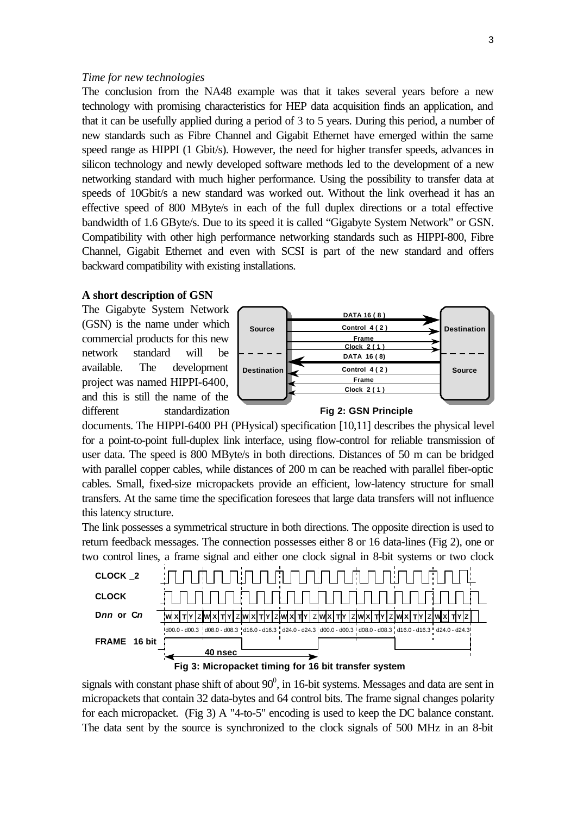#### *Time for new technologies*

The conclusion from the NA48 example was that it takes several years before a new technology with promising characteristics for HEP data acquisition finds an application, and that it can be usefully applied during a period of 3 to 5 years. During this period, a number of new standards such as Fibre Channel and Gigabit Ethernet have emerged within the same speed range as HIPPI (1 Gbit/s). However, the need for higher transfer speeds, advances in silicon technology and newly developed software methods led to the development of a new networking standard with much higher performance. Using the possibility to transfer data at speeds of 10Gbit/s a new standard was worked out. Without the link overhead it has an effective speed of 800 MByte/s in each of the full duplex directions or a total effective bandwidth of 1.6 GByte/s. Due to its speed it is called "Gigabyte System Network" or GSN. Compatibility with other high performance networking standards such as HIPPI-800, Fibre Channel, Gigabit Ethernet and even with SCSI is part of the new standard and offers backward compatibility with existing installations.

#### **A short description of GSN**

The Gigabyte System Network (GSN) is the name under which commercial products for this new network standard will be available. The development project was named HIPPI-6400, and this is still the name of the different standardization





documents. The HIPPI-6400 PH (PHysical) specification [10,11] describes the physical level for a point-to-point full-duplex link interface, using flow-control for reliable transmission of user data. The speed is 800 MByte/s in both directions. Distances of 50 m can be bridged with parallel copper cables, while distances of 200 m can be reached with parallel fiber-optic cables. Small, fixed-size micropackets provide an efficient, low-latency structure for small transfers. At the same time the specification foresees that large data transfers will not influence this latency structure.

The link possesses a symmetrical structure in both directions. The opposite direction is used to return feedback messages. The connection possesses either 8 or 16 data-lines (Fig 2), one or two control lines, a frame signal and either one clock signal in 8-bit systems or two clock





signals with constant phase shift of about  $90^0$ , in 16-bit systems. Messages and data are sent in micropackets that contain 32 data-bytes and 64 control bits. The frame signal changes polarity for each micropacket. (Fig 3) A "4-to-5" encoding is used to keep the DC balance constant. The data sent by the source is synchronized to the clock signals of 500 MHz in an 8-bit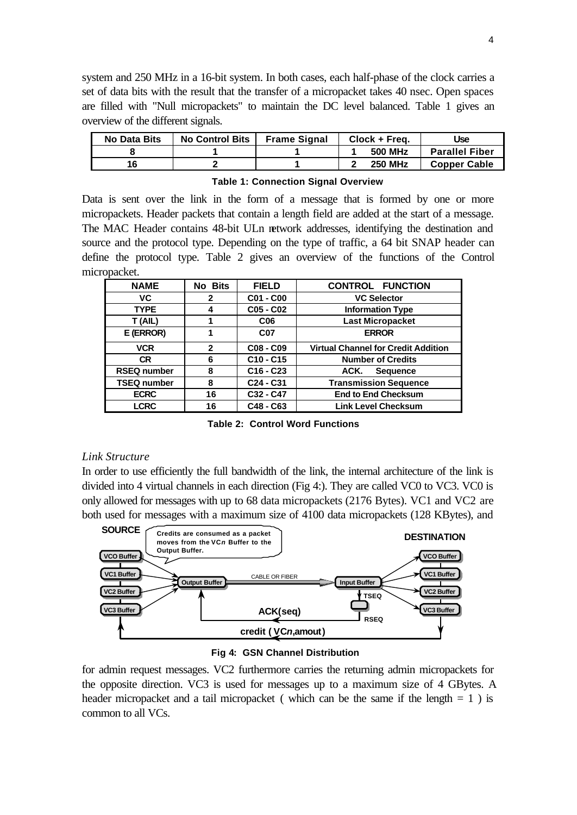system and 250 MHz in a 16-bit system. In both cases, each half-phase of the clock carries a set of data bits with the result that the transfer of a micropacket takes 40 nsec. Open spaces are filled with "Null micropackets" to maintain the DC level balanced. Table 1 gives an overview of the different signals.

| No Data Bits | <b>No Control Bits</b> | <b>Frame Signal</b> | Clock + Frea.  | Use                   |  |
|--------------|------------------------|---------------------|----------------|-----------------------|--|
|              |                        |                     | <b>500 MHz</b> | <b>Parallel Fiber</b> |  |
| 16           |                        |                     | <b>250 MHz</b> | <b>Copper Cable</b>   |  |

**Table 1: Connection Signal Overview**

Data is sent over the link in the form of a message that is formed by one or more micropackets. Header packets that contain a length field are added at the start of a message. The MAC Header contains 48-bit ULn network addresses, identifying the destination and source and the protocol type. Depending on the type of traffic, a 64 bit SNAP header can define the protocol type. Table 2 gives an overview of the functions of the Control micropacket.

| <b>NAME</b>        | No Bits      | <b>FIELD</b>                      | <b>CONTROL FUNCTION</b>                    |  |
|--------------------|--------------|-----------------------------------|--------------------------------------------|--|
| VC                 | $\mathbf{2}$ | C01 - C00                         | <b>VC Selector</b>                         |  |
| <b>TYPE</b>        | 4            | C05 - C02                         | <b>Information Type</b>                    |  |
| T (AIL)            |              | C <sub>06</sub>                   | <b>Last Micropacket</b>                    |  |
| E (ERROR)          |              | <b>C07</b>                        | <b>ERROR</b>                               |  |
| <b>VCR</b>         | $\mathbf{2}$ | C08 - C09                         | <b>Virtual Channel for Credit Addition</b> |  |
| <b>CR</b>          | 6            | $C10 - C15$                       | <b>Number of Credits</b>                   |  |
| <b>RSEQ number</b> | 8            | $C16 - C23$                       | ACK.<br><b>Sequence</b>                    |  |
| <b>TSEQ number</b> | 8            | C <sub>24</sub> - C <sub>31</sub> | <b>Transmission Sequence</b>               |  |
| <b>ECRC</b>        | 16           | C32 - C47                         | <b>End to End Checksum</b>                 |  |
| <b>LCRC</b>        | 16           | C48 - C63                         | <b>Link Level Checksum</b>                 |  |

**Table 2: Control Word Functions**

#### *Link Structure*

In order to use efficiently the full bandwidth of the link, the internal architecture of the link is divided into 4 virtual channels in each direction (Fig 4:). They are called VC0 to VC3. VC0 is only allowed for messages with up to 68 data micropackets (2176 Bytes). VC1 and VC2 are both used for messages with a maximum size of 4100 data micropackets (128 KBytes), and



### **Fig 4: GSN Channel Distribution**

for admin request messages. VC2 furthermore carries the returning admin micropackets for the opposite direction. VC3 is used for messages up to a maximum size of 4 GBytes. A header micropacket and a tail micropacket (which can be the same if the length  $= 1$ ) is common to all VCs.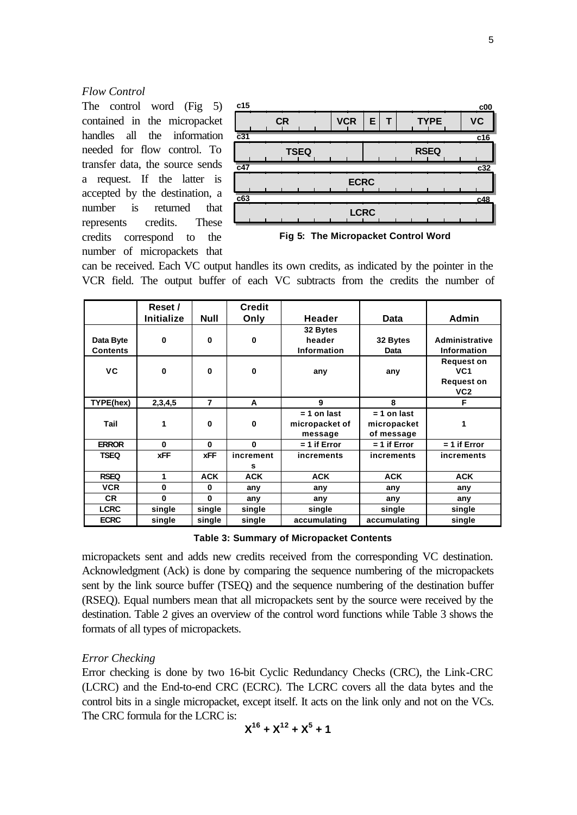#### *Flow Control*

The control word (Fig 5) contained in the micropacket handles all the information needed for flow control. To transfer data, the source sends a request. If the latter is accepted by the destination, a number is returned that represents credits. These credits correspond to the number of micropackets that



can be received. Each VC output handles its own credits, as indicated by the pointer in the VCR field. The output buffer of each VC subtracts from the credits the number of

|                              | Reset /           |                | <b>Credit</b>  |                                            |                                            |                                                                  |
|------------------------------|-------------------|----------------|----------------|--------------------------------------------|--------------------------------------------|------------------------------------------------------------------|
|                              | <b>Initialize</b> | <b>Null</b>    | Only           | Header                                     | <b>Data</b>                                | Admin                                                            |
| Data Byte<br><b>Contents</b> | $\mathbf 0$       | $\bf{0}$       | $\bf{0}$       | 32 Bytes<br>header<br><b>Information</b>   | 32 Bytes<br>Data                           | Administrative<br><b>Information</b>                             |
| VC                           | $\bf{0}$          | $\mathbf 0$    | 0              | any                                        | any                                        | <b>Request on</b><br>VC <sub>1</sub><br><b>Request on</b><br>VC2 |
| TYPE(hex)                    | 2,3,4,5           | $\overline{7}$ | A              | 9                                          | 8                                          | F                                                                |
| Tail                         | 1                 | 0              | $\mathbf 0$    | $= 1$ on last<br>micropacket of<br>message | $= 1$ on last<br>micropacket<br>of message | 1                                                                |
| <b>ERROR</b>                 | $\bf{0}$          | $\bf{0}$       | $\bf{0}$       | $= 1$ if Error                             | $= 1$ if Error                             | $= 1$ if Error                                                   |
| <b>TSEQ</b>                  | <b>XFF</b>        | <b>xFF</b>     | increment<br>s | <b>increments</b>                          | increments                                 | increments                                                       |
| <b>RSEQ</b>                  | 1                 | <b>ACK</b>     | <b>ACK</b>     | <b>ACK</b>                                 | <b>ACK</b>                                 | <b>ACK</b>                                                       |
| <b>VCR</b>                   | $\mathbf 0$       | 0              | any            | any                                        | any                                        | any                                                              |
| <b>CR</b>                    | $\Omega$          | $\Omega$       | any            | anv                                        | any                                        | any                                                              |
| <b>LCRC</b>                  | single            | single         | single         | single                                     | single                                     | single                                                           |
| <b>ECRC</b>                  | single            | single         | single         | accumulating                               | accumulating                               | single                                                           |

#### **Table 3: Summary of Micropacket Contents**

micropackets sent and adds new credits received from the corresponding VC destination. Acknowledgment (Ack) is done by comparing the sequence numbering of the micropackets sent by the link source buffer (TSEQ) and the sequence numbering of the destination buffer (RSEQ). Equal numbers mean that all micropackets sent by the source were received by the destination. Table 2 gives an overview of the control word functions while Table 3 shows the formats of all types of micropackets.

#### *Error Checking*

Error checking is done by two 16-bit Cyclic Redundancy Checks (CRC), the Link-CRC (LCRC) and the End-to-end CRC (ECRC). The LCRC covers all the data bytes and the control bits in a single micropacket, except itself. It acts on the link only and not on the VCs. The CRC formula for the LCRC is:

$$
X^{16} + X^{12} + X^5 + 1
$$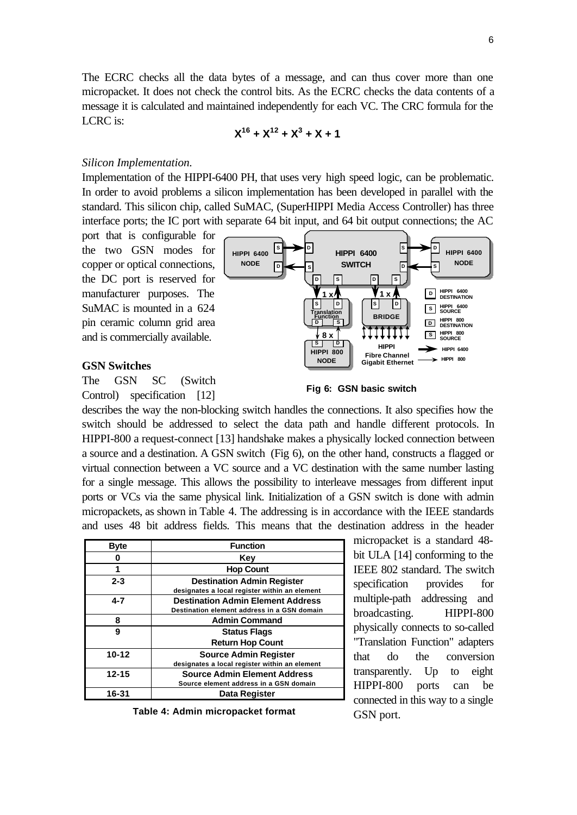The ECRC checks all the data bytes of a message, and can thus cover more than one micropacket. It does not check the control bits. As the ECRC checks the data contents of a message it is calculated and maintained independently for each VC. The CRC formula for the LCRC is:

## $X^{16}$  +  $X^{12}$  +  $X^{3}$  +  $X$  + 1

#### *Silicon Implementation.*

Implementation of the HIPPI-6400 PH, that uses very high speed logic, can be problematic. In order to avoid problems a silicon implementation has been developed in parallel with the standard. This silicon chip, called SuMAC, (SuperHIPPI Media Access Controller) has three interface ports; the IC port with separate 64 bit input, and 64 bit output connections; the AC

> **D S**

**HIPPI 6400 NODE**

**S**

**D**

port that is configurable for the two GSN modes for copper or optical connections, the DC port is reserved for manufacturer purposes. The SuMAC is mounted in a 624 pin ceramic column grid area and is commercially available.

#### **GSN Switches**

The GSN SC (Switch Control) specification [12]



**HIPPI 6400 SWITCH** 

 $\sqrt{\mathsf{s}}$ 

**S D HIPPI 800 NODE**

**D S S D Translation Function**

**D S**

**S D BRIDGE**

**<sup>S</sup> HIPPI 800 8 x SOURCE**

**HIPPI Fibre Channel Gigabit Ethernet**

**D S**

**1 x 1** x **1 D HIPPI** 6400

describes the way the non-blocking switch handles the connections. It also specifies how the switch should be addressed to select the data path and handle different protocols. In HIPPI-800 a request-connect [13] handshake makes a physically locked connection between a source and a destination. A GSN switch (Fig 6), on the other hand, constructs a flagged or virtual connection between a VC source and a VC destination with the same number lasting for a single message. This allows the possibility to interleave messages from different input ports or VCs via the same physical link. Initialization of a GSN switch is done with admin micropackets, as shown in Table 4. The addressing is in accordance with the IEEE standards and uses 48 bit address fields. This means that the destination address in the header

| <b>Byte</b> | <b>Function</b>                                                                         |
|-------------|-----------------------------------------------------------------------------------------|
|             | Kev                                                                                     |
|             | <b>Hop Count</b>                                                                        |
| $2 - 3$     | <b>Destination Admin Register</b><br>designates a local register within an element      |
| 4-7         | <b>Destination Admin Element Address</b><br>Destination element address in a GSN domain |
| 8           | <b>Admin Command</b>                                                                    |
| 9           | <b>Status Flags</b><br><b>Return Hop Count</b>                                          |
| $10 - 12$   | <b>Source Admin Register</b><br>designates a local register within an element           |
| $12 - 15$   | <b>Source Admin Element Address</b><br>Source element address in a GSN domain           |
| 16-31       | <b>Data Register</b>                                                                    |

**Table 4: Admin micropacket format**

micropacket is a standard 48 bit ULA [14] conforming to the IEEE 802 standard. The switch specification provides for multiple-path addressing and broadcasting. HIPPI-800 physically connects to so-called "Translation Function" adapters that do the conversion transparently. Up to eight HIPPI-800 ports can be connected in this way to a single GSN port.

**S**

**D**

 $|s|$ 

**D**

**HIPPI 6400 NODE**

**HIPPI 6400 HIPPI 800**

**D HIPPI 800 DESTINATION**

**HIPPI 6400 SOURCE**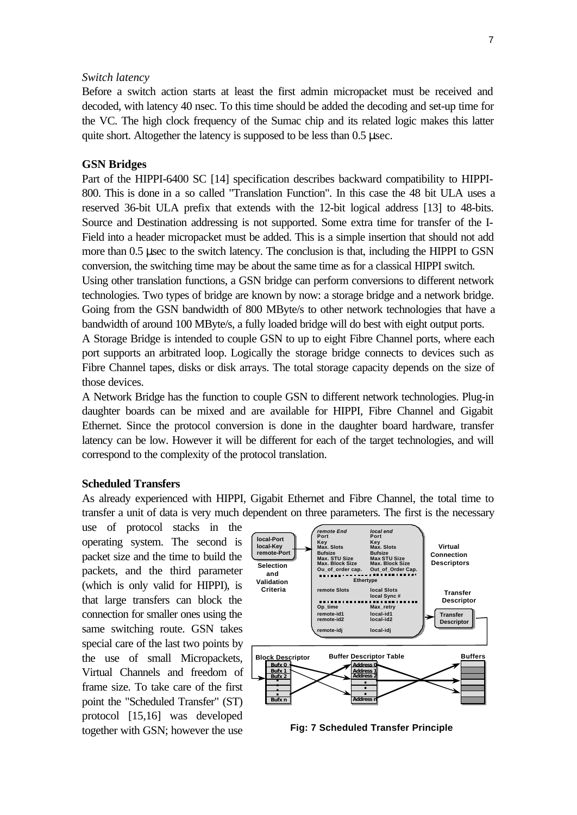#### *Switch latency*

Before a switch action starts at least the first admin micropacket must be received and decoded, with latency 40 nsec. To this time should be added the decoding and set-up time for the VC. The high clock frequency of the Sumac chip and its related logic makes this latter quite short. Altogether the latency is supposed to be less than 0.5 μsec.

#### **GSN Bridges**

Part of the HIPPI-6400 SC [14] specification describes backward compatibility to HIPPI-800. This is done in a so called "Translation Function". In this case the 48 bit ULA uses a reserved 36-bit ULA prefix that extends with the 12-bit logical address [13] to 48-bits. Source and Destination addressing is not supported. Some extra time for transfer of the I-Field into a header micropacket must be added. This is a simple insertion that should not add more than 0.5 μsec to the switch latency. The conclusion is that, including the HIPPI to GSN conversion, the switching time may be about the same time as for a classical HIPPI switch.

Using other translation functions, a GSN bridge can perform conversions to different network technologies. Two types of bridge are known by now: a storage bridge and a network bridge. Going from the GSN bandwidth of 800 MByte/s to other network technologies that have a bandwidth of around 100 MByte/s, a fully loaded bridge will do best with eight output ports.

A Storage Bridge is intended to couple GSN to up to eight Fibre Channel ports, where each port supports an arbitrated loop. Logically the storage bridge connects to devices such as Fibre Channel tapes, disks or disk arrays. The total storage capacity depends on the size of those devices.

A Network Bridge has the function to couple GSN to different network technologies. Plug-in daughter boards can be mixed and are available for HIPPI, Fibre Channel and Gigabit Ethernet. Since the protocol conversion is done in the daughter board hardware, transfer latency can be low. However it will be different for each of the target technologies, and will correspond to the complexity of the protocol translation.

#### **Scheduled Transfers**

As already experienced with HIPPI, Gigabit Ethernet and Fibre Channel, the total time to transfer a unit of data is very much dependent on three parameters. The first is the necessary

use of protocol stacks in the operating system. The second is packet size and the time to build the packets, and the third parameter (which is only valid for HIPPI), is that large transfers can block the connection for smaller ones using the same switching route. GSN takes special care of the last two points by the use of small Micropackets, Virtual Channels and freedom of frame size. To take care of the first point the "Scheduled Transfer" (ST) protocol [15,16] was developed together with GSN; however the use



**Fig: 7 Scheduled Transfer Principle**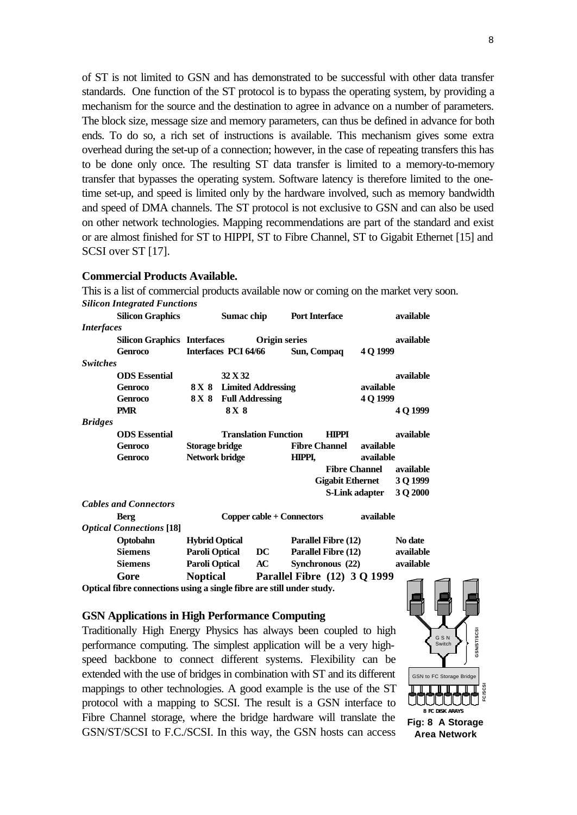of ST is not limited to GSN and has demonstrated to be successful with other data transfer standards. One function of the ST protocol is to bypass the operating system, by providing a mechanism for the source and the destination to agree in advance on a number of parameters. The block size, message size and memory parameters, can thus be defined in advance for both ends. To do so, a rich set of instructions is available. This mechanism gives some extra overhead during the set-up of a connection; however, in the case of repeating transfers this has to be done only once. The resulting ST data transfer is limited to a memory-to-memory transfer that bypasses the operating system. Software latency is therefore limited to the onetime set-up, and speed is limited only by the hardware involved, such as memory bandwidth and speed of DMA channels. The ST protocol is not exclusive to GSN and can also be used on other network technologies. Mapping recommendations are part of the standard and exist or are almost finished for ST to HIPPI, ST to Fibre Channel, ST to Gigabit Ethernet [15] and SCSI over ST [17].

#### **Commercial Products Available.**

This is a list of commercial products available now or coming on the market very soon. *Silicon Integrated Functions* **Silicon Graphics Sumac chip Port Interface available** *Interfaces* **Silicon Graphics Interfaces Origin series available Genroco Interfaces PCI 64/66 Sun, Compaq 4 Q 1999** *Switches* **ODS Essential 32 X 32 available Genroco 8 X 8 Limited Addressing available Genroco 8 X 8 Full Addressing 4 Q 1999 PMR 8 X 8 4 Q 1999** *Bridges* **ODS Essential Translation Function HIPPI available Genroco Storage bridge Fibre Channel available Genroco Network bridge HIPPI, available Fibre Channel available Gigabit Ethernet 3 Q 1999 S-Link adapter 3 Q 2000** *Cables and Connectors* **Berg Copper cable + Connectors available** *Optical Connections* **[18] Optobahn Hybrid Optical Parallel Fibre (12) No date Siemens Paroli Optical DC Parallel Fibre (12) available Siemens Paroli Optical AC Synchronous (22) available Gore Noptical Parallel Fibre (12) 3 Q 1999 Optical fibre connections using a single fibre are still under study.**

#### **GSN Applications in High Performance Computing**

Traditionally High Energy Physics has always been coupled to high performance computing. The simplest application will be a very highspeed backbone to connect different systems. Flexibility can be extended with the use of bridges in combination with ST and its different mappings to other technologies. A good example is the use of the ST protocol with a mapping to SCSI. The result is a GSN interface to Fibre Channel storage, where the bridge hardware will translate the GSN/ST/SCSI to F.C./SCSI. In this way, the GSN hosts can access

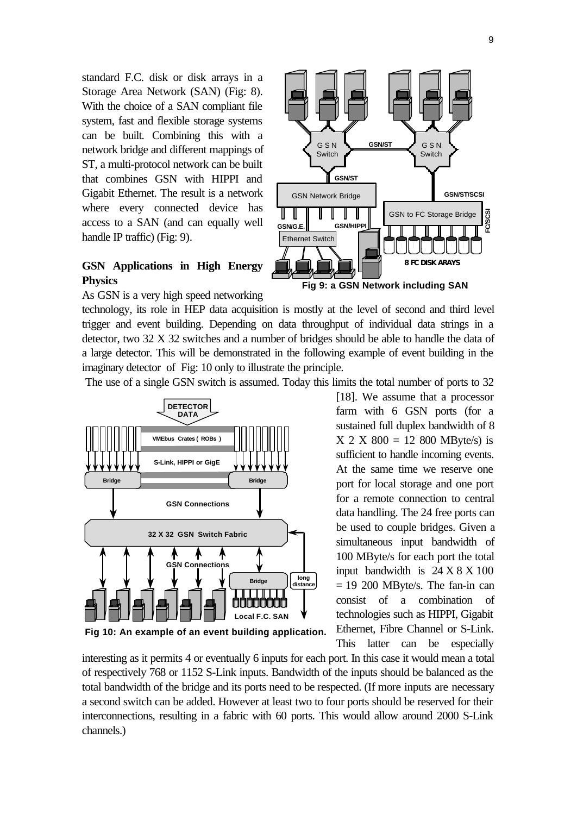9

standard F.C. disk or disk arrays in a Storage Area Network (SAN) (Fig: 8). With the choice of a SAN compliant file system, fast and flexible storage systems can be built. Combining this with a network bridge and different mappings of ST, a multi-protocol network can be built that combines GSN with HIPPI and Gigabit Ethernet. The result is a network where every connected device has access to a SAN (and can equally well handle IP traffic) (Fig: 9).

### **GSN Applications in High Energy Physics**

As GSN is a very high speed networking

technology, its role in HEP data acquisition is mostly at the level of second and third level trigger and event building. Depending on data throughput of individual data strings in a detector, two 32 X 32 switches and a number of bridges should be able to handle the data of a large detector. This will be demonstrated in the following example of event building in the imaginary detector of Fig: 10 only to illustrate the principle.

The use of a single GSN switch is assumed. Today this limits the total number of ports to 32



**Fig 10: An example of an event building application.**

interesting as it permits 4 or eventually 6 inputs for each port. In this case it would mean a total of respectively 768 or 1152 S-Link inputs. Bandwidth of the inputs should be balanced as the total bandwidth of the bridge and its ports need to be respected. (If more inputs are necessary a second switch can be added. However at least two to four ports should be reserved for their interconnections, resulting in a fabric with 60 ports. This would allow around 2000 S-Link channels.)



**Fig 9: a GSN Network including SAN**

[18]. We assume that a processor farm with 6 GSN ports (for a sustained full duplex bandwidth of 8  $X$  2 X 800 = 12 800 MByte/s) is sufficient to handle incoming events. At the same time we reserve one port for local storage and one port for a remote connection to central data handling. The 24 free ports can be used to couple bridges. Given a simultaneous input bandwidth of 100 MByte/s for each port the total input bandwidth is  $24 X 8 X 100$  $= 19$  200 MByte/s. The fan-in can consist of a combination technologies such as HIPPI, Gigabit Ethernet, Fibre Channel or S-Link. This latter can be especially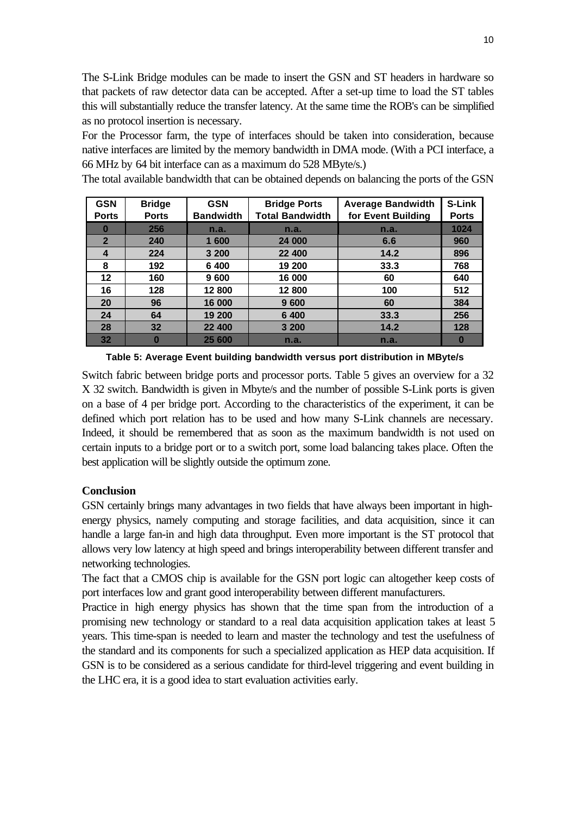The S-Link Bridge modules can be made to insert the GSN and ST headers in hardware so that packets of raw detector data can be accepted. After a set-up time to load the ST tables this will substantially reduce the transfer latency. At the same time the ROB's can be simplified as no protocol insertion is necessary.

For the Processor farm, the type of interfaces should be taken into consideration, because native interfaces are limited by the memory bandwidth in DMA mode. (With a PCI interface, a 66 MHz by 64 bit interface can as a maximum do 528 MByte/s.)

The total available bandwidth that can be obtained depends on balancing the ports of the GSN

| <b>GSN</b>   | <b>Bridge</b> | <b>GSN</b>       | <b>Bridge Ports</b>    | <b>Average Bandwidth</b> | S-Link       |
|--------------|---------------|------------------|------------------------|--------------------------|--------------|
| <b>Ports</b> | <b>Ports</b>  | <b>Bandwidth</b> | <b>Total Bandwidth</b> | for Event Building       | <b>Ports</b> |
| O            | 256           | n.a.             | n.a.                   | n.a.                     | 1024         |
| $\mathbf{2}$ | 240           | 1 600            | 24 000                 | 6.6                      | 960          |
| 4            | 224           | 3 200            | 22 400                 | 14.2                     | 896          |
| 8            | 192           | 6 400            | 19 200                 | 33.3                     | 768          |
| 12           | 160           | 9 600            | 16 000                 | 60                       | 640          |
| 16           | 128           | 12 800           | 12 800                 | 100                      | 512          |
| 20           | 96            | 16 000           | 9 600                  | 60                       | 384          |
| 24           | 64            | 19 200           | 6 400                  | 33.3                     | 256          |
| 28           | 32            | 22 400           | 3 200                  | 14.2                     | 128          |
| 32           |               | 25 600           | n.a.                   | n.a.                     | 0            |

**Table 5: Average Event building bandwidth versus port distribution in MByte/s**

Switch fabric between bridge ports and processor ports. Table 5 gives an overview for a 32 X 32 switch. Bandwidth is given in Mbyte/s and the number of possible S-Link ports is given on a base of 4 per bridge port. According to the characteristics of the experiment, it can be defined which port relation has to be used and how many S-Link channels are necessary. Indeed, it should be remembered that as soon as the maximum bandwidth is not used on certain inputs to a bridge port or to a switch port, some load balancing takes place. Often the best application will be slightly outside the optimum zone.

#### **Conclusion**

GSN certainly brings many advantages in two fields that have always been important in highenergy physics, namely computing and storage facilities, and data acquisition, since it can handle a large fan-in and high data throughput. Even more important is the ST protocol that allows very low latency at high speed and brings interoperability between different transfer and networking technologies.

The fact that a CMOS chip is available for the GSN port logic can altogether keep costs of port interfaces low and grant good interoperability between different manufacturers.

Practice in high energy physics has shown that the time span from the introduction of a promising new technology or standard to a real data acquisition application takes at least 5 years. This time-span is needed to learn and master the technology and test the usefulness of the standard and its components for such a specialized application as HEP data acquisition. If GSN is to be considered as a serious candidate for third-level triggering and event building in the LHC era, it is a good idea to start evaluation activities early.